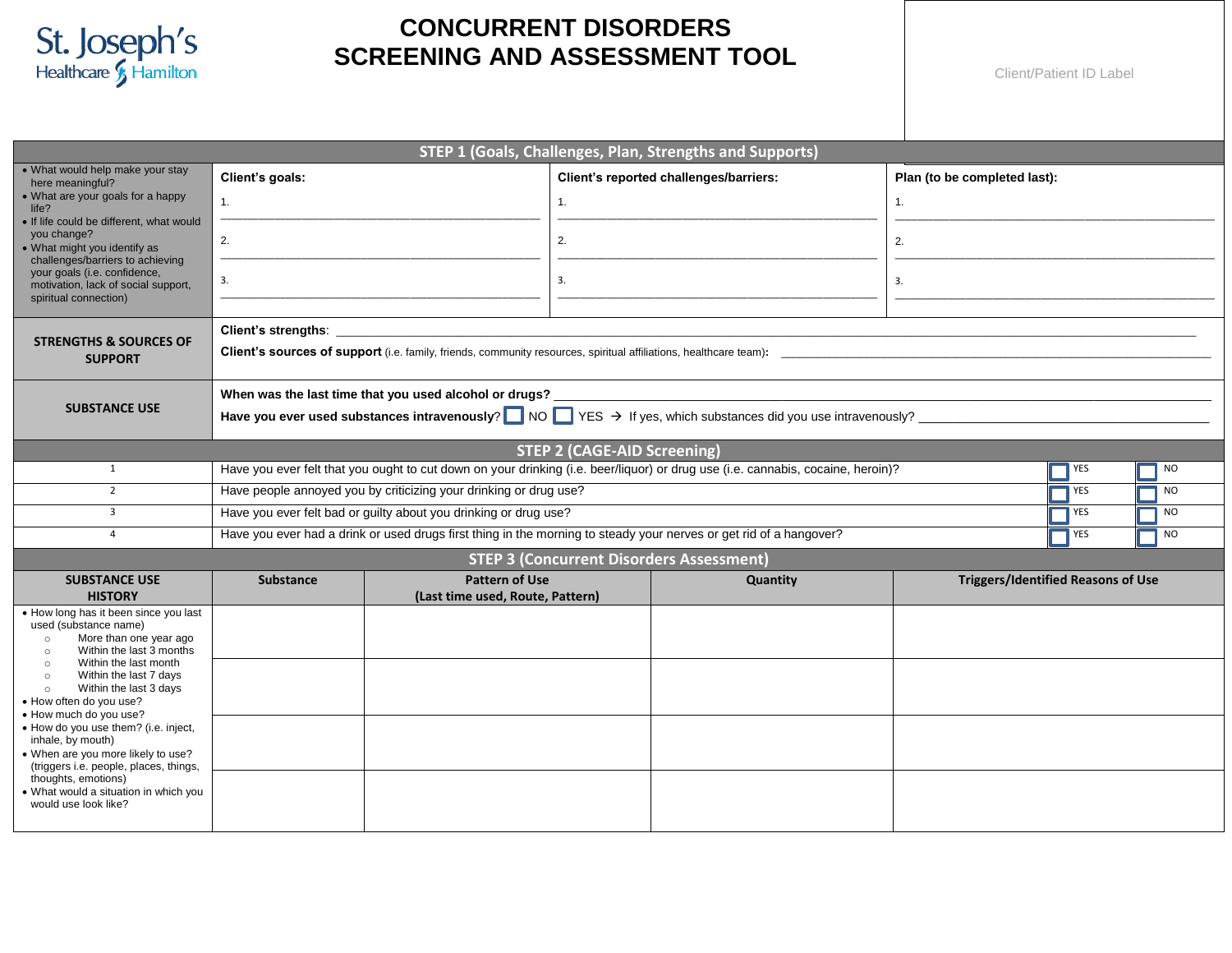

## **CONCURRENT DISORDERS SCREENING AND ASSESSMENT TOOL**

Client/Patient ID Label

| STEP 1 (Goals, Challenges, Plan, Strengths and Supports)                                                                                                                      |                                                                                                                                                                                                        |                                                           |                                    |                                                 |    |                                           |  |  |  |
|-------------------------------------------------------------------------------------------------------------------------------------------------------------------------------|--------------------------------------------------------------------------------------------------------------------------------------------------------------------------------------------------------|-----------------------------------------------------------|------------------------------------|-------------------------------------------------|----|-------------------------------------------|--|--|--|
| . What would help make your stay<br>here meaningful?                                                                                                                          | Client's goals:                                                                                                                                                                                        |                                                           |                                    | Client's reported challenges/barriers:          |    | Plan (to be completed last):              |  |  |  |
| • What are your goals for a happy<br>life?<br>. If life could be different, what would                                                                                        | 1.                                                                                                                                                                                                     |                                                           | 1.                                 |                                                 | 1. |                                           |  |  |  |
| you change?<br>What might you identify as<br>challenges/barriers to achieving<br>your goals (i.e. confidence,<br>motivation, lack of social support,<br>spiritual connection) | 2.                                                                                                                                                                                                     |                                                           | 2.                                 |                                                 | 2. |                                           |  |  |  |
|                                                                                                                                                                               | 3.                                                                                                                                                                                                     |                                                           | 3.                                 |                                                 | 3. |                                           |  |  |  |
| <b>STRENGTHS &amp; SOURCES OF</b><br><b>SUPPORT</b>                                                                                                                           |                                                                                                                                                                                                        |                                                           |                                    |                                                 |    |                                           |  |  |  |
| <b>SUBSTANCE USE</b>                                                                                                                                                          | When was the last time that you used alcohol or drugs? _<br>Have you ever used substances intravenously? $\Box$ NO $\Box$ YES $\rightarrow$ If yes, which substances did you use intravenously? $\Box$ |                                                           |                                    |                                                 |    |                                           |  |  |  |
|                                                                                                                                                                               |                                                                                                                                                                                                        |                                                           | <b>STEP 2 (CAGE-AID Screening)</b> |                                                 |    |                                           |  |  |  |
| 1                                                                                                                                                                             | Have you ever felt that you ought to cut down on your drinking (i.e. beer/liquor) or drug use (i.e. cannabis, cocaine, heroin)?<br>YES<br><b>NO</b>                                                    |                                                           |                                    |                                                 |    |                                           |  |  |  |
| $\overline{2}$                                                                                                                                                                | Have people annoyed you by criticizing your drinking or drug use?<br><b>YES</b><br><b>NO</b>                                                                                                           |                                                           |                                    |                                                 |    |                                           |  |  |  |
| $\overline{3}$                                                                                                                                                                | Have you ever felt bad or guilty about you drinking or drug use?<br><b>YES</b><br><b>NO</b>                                                                                                            |                                                           |                                    |                                                 |    |                                           |  |  |  |
| $\overline{4}$                                                                                                                                                                | Have you ever had a drink or used drugs first thing in the morning to steady your nerves or get rid of a hangover?<br>YES<br><b>NO</b>                                                                 |                                                           |                                    |                                                 |    |                                           |  |  |  |
|                                                                                                                                                                               |                                                                                                                                                                                                        |                                                           |                                    | <b>STEP 3 (Concurrent Disorders Assessment)</b> |    |                                           |  |  |  |
| <b>SUBSTANCE USE</b><br><b>HISTORY</b>                                                                                                                                        | <b>Substance</b>                                                                                                                                                                                       | <b>Pattern of Use</b><br>(Last time used, Route, Pattern) |                                    | Quantity                                        |    | <b>Triggers/Identified Reasons of Use</b> |  |  |  |
| • How long has it been since you last<br>used (substance name)<br>More than one year ago<br>$\circ$<br>Within the last 3 months<br>$\circ$                                    |                                                                                                                                                                                                        |                                                           |                                    |                                                 |    |                                           |  |  |  |
| Within the last month<br>$\circ$<br>Within the last 7 days<br>$\circ$<br>Within the last 3 days<br>$\circ$<br>• How often do you use?                                         |                                                                                                                                                                                                        |                                                           |                                    |                                                 |    |                                           |  |  |  |
| • How much do you use?<br>• How do you use them? (i.e. inject,<br>inhale, by mouth)<br>. When are you more likely to use?<br>(triggers i.e. people, places, things,           |                                                                                                                                                                                                        |                                                           |                                    |                                                 |    |                                           |  |  |  |
| thoughts, emotions)<br>. What would a situation in which you<br>would use look like?                                                                                          |                                                                                                                                                                                                        |                                                           |                                    |                                                 |    |                                           |  |  |  |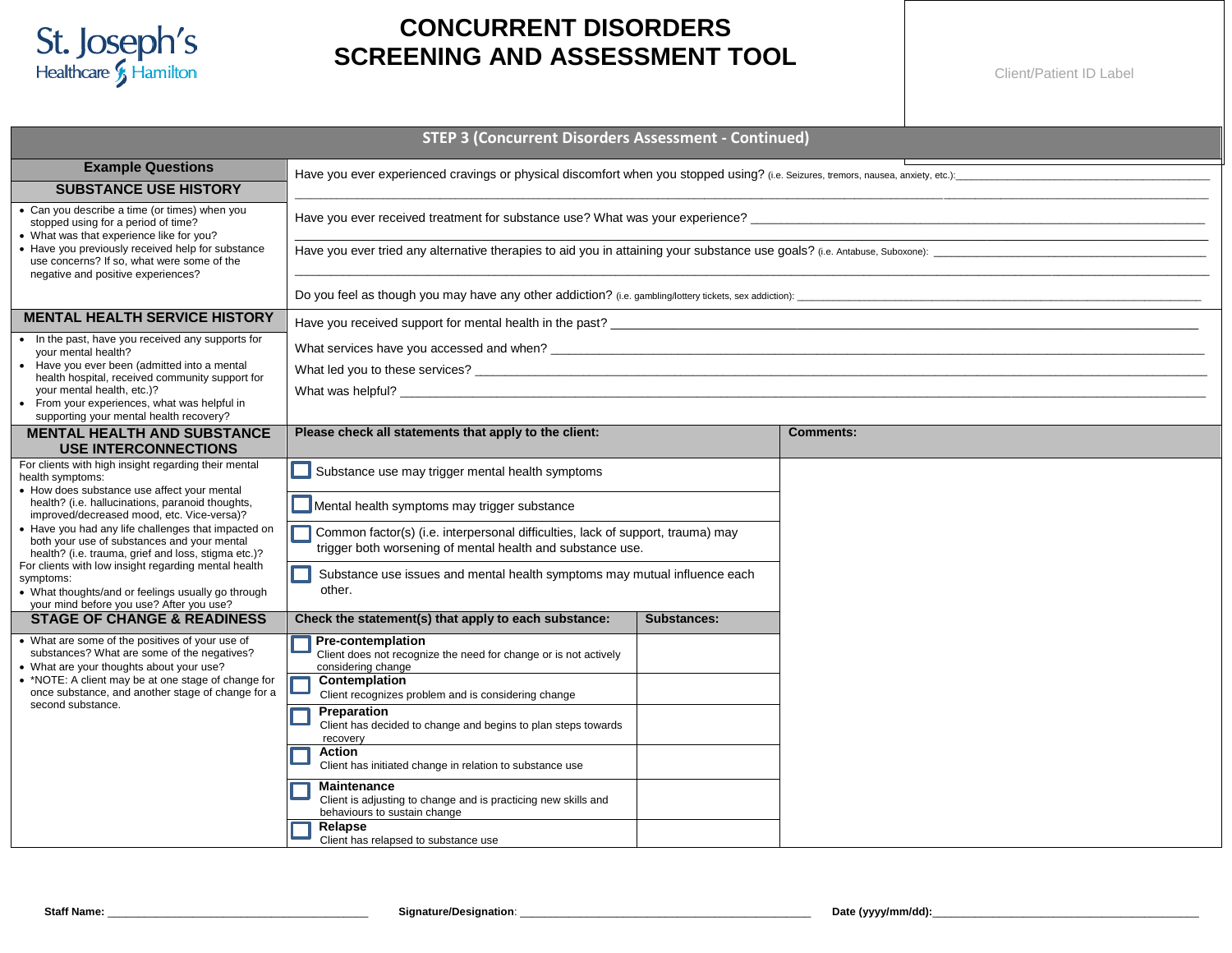

## **CONCURRENT DISORDERS SCREENING AND ASSESSMENT TOOL**

Client/Patient ID Label

| <b>STEP 3 (Concurrent Disorders Assessment - Continued)</b>                                                                                                         |                                                                                                                                               |             |                  |  |  |  |  |
|---------------------------------------------------------------------------------------------------------------------------------------------------------------------|-----------------------------------------------------------------------------------------------------------------------------------------------|-------------|------------------|--|--|--|--|
| <b>Example Questions</b><br><b>SUBSTANCE USE HISTORY</b>                                                                                                            |                                                                                                                                               |             |                  |  |  |  |  |
| • Can you describe a time (or times) when you<br>stopped using for a period of time?<br>• What was that experience like for you?                                    |                                                                                                                                               |             |                  |  |  |  |  |
| • Have you previously received help for substance<br>use concerns? If so, what were some of the<br>negative and positive experiences?                               |                                                                                                                                               |             |                  |  |  |  |  |
|                                                                                                                                                                     |                                                                                                                                               |             |                  |  |  |  |  |
| <b>MENTAL HEALTH SERVICE HISTORY</b>                                                                                                                                |                                                                                                                                               |             |                  |  |  |  |  |
| • In the past, have you received any supports for<br>your mental health?                                                                                            |                                                                                                                                               |             |                  |  |  |  |  |
| • Have you ever been (admitted into a mental<br>health hospital, received community support for                                                                     |                                                                                                                                               |             |                  |  |  |  |  |
| your mental health, etc.)?<br>• From your experiences, what was helpful in<br>supporting your mental health recovery?                                               |                                                                                                                                               |             |                  |  |  |  |  |
| <b>MENTAL HEALTH AND SUBSTANCE</b><br><b>USE INTERCONNECTIONS</b>                                                                                                   | Please check all statements that apply to the client:                                                                                         |             | <b>Comments:</b> |  |  |  |  |
| For clients with high insight regarding their mental<br>health symptoms:                                                                                            | Substance use may trigger mental health symptoms                                                                                              |             |                  |  |  |  |  |
| • How does substance use affect your mental<br>health? (i.e. hallucinations, paranoid thoughts,<br>improved/decreased mood, etc. Vice-versa)?                       | Mental health symptoms may trigger substance                                                                                                  |             |                  |  |  |  |  |
| • Have you had any life challenges that impacted on<br>both your use of substances and your mental<br>health? (i.e. trauma, grief and loss, stigma etc.)?           | Common factor(s) (i.e. interpersonal difficulties, lack of support, trauma) may<br>trigger both worsening of mental health and substance use. |             |                  |  |  |  |  |
| For clients with low insight regarding mental health<br>symptoms:<br>• What thoughts/and or feelings usually go through<br>your mind before you use? After you use? | Substance use issues and mental health symptoms may mutual influence each<br>other.                                                           |             |                  |  |  |  |  |
| <b>STAGE OF CHANGE &amp; READINESS</b>                                                                                                                              | Check the statement(s) that apply to each substance:                                                                                          | Substances: |                  |  |  |  |  |
| • What are some of the positives of your use of<br>substances? What are some of the negatives?<br>• What are your thoughts about your use?                          | <b>Pre-contemplation</b><br>Client does not recognize the need for change or is not actively<br>considering change                            |             |                  |  |  |  |  |
| • *NOTE: A client may be at one stage of change for<br>once substance, and another stage of change for a<br>second substance.                                       | Contemplation<br>Client recognizes problem and is considering change                                                                          |             |                  |  |  |  |  |
|                                                                                                                                                                     | Preparation<br>Client has decided to change and begins to plan steps towards<br>recovery                                                      |             |                  |  |  |  |  |
|                                                                                                                                                                     | Action<br>Client has initiated change in relation to substance use                                                                            |             |                  |  |  |  |  |
|                                                                                                                                                                     | <b>Maintenance</b><br>Client is adjusting to change and is practicing new skills and<br>behaviours to sustain change                          |             |                  |  |  |  |  |
|                                                                                                                                                                     | Relapse<br>Client has relapsed to substance use                                                                                               |             |                  |  |  |  |  |